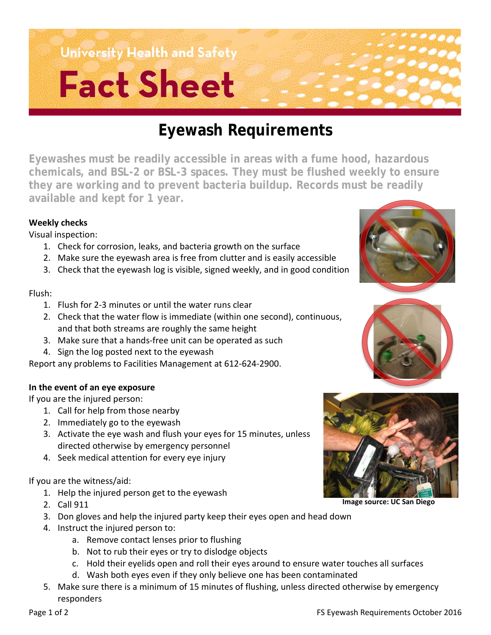# **University Health and Safety Fact Sheet**

## **Eyewash Requirements**

**Eyewashes must be readily accessible in areas with a fume hood, hazardous chemicals, and BSL-2 or BSL-3 spaces. They must be flushed weekly to ensure they are working and to prevent bacteria buildup. Records must be readily available and kept for 1 year.** 

#### **Weekly checks**

Visual inspection:

- 1. Check for corrosion, leaks, and bacteria growth on the surface
- 2. Make sure the eyewash area is free from clutter and is easily accessible
- 3. Check that the eyewash log is visible, signed weekly, and in good condition

#### Flush:

- 1. Flush for 2-3 minutes or until the water runs clear
- 2. Check that the water flow is immediate (within one second), continuous, and that both streams are roughly the same height
- 3. Make sure that a hands-free unit can be operated as such
- 4. Sign the log posted next to the eyewash

Report any problems to Facilities Management at 612-624-2900.

#### **In the event of an eye exposure**

If you are the injured person:

- 1. Call for help from those nearby
- 2. Immediately go to the eyewash
- 3. Activate the eye wash and flush your eyes for 15 minutes, unless directed otherwise by emergency personnel
- 4. Seek medical attention for every eye injury

If you are the witness/aid:

- 1. Help the injured person get to the eyewash
- 2. Call 911
- 3. Don gloves and help the injured party keep their eyes open and head down
- 4. Instruct the injured person to:
	- a. Remove contact lenses prior to flushing
	- b. Not to rub their eyes or try to dislodge objects
	- c. Hold their eyelids open and roll their eyes around to ensure water touches all surfaces
	- d. Wash both eyes even if they only believe one has been contaminated
- 5. Make sure there is a minimum of 15 minutes of flushing, unless directed otherwise by emergency responders